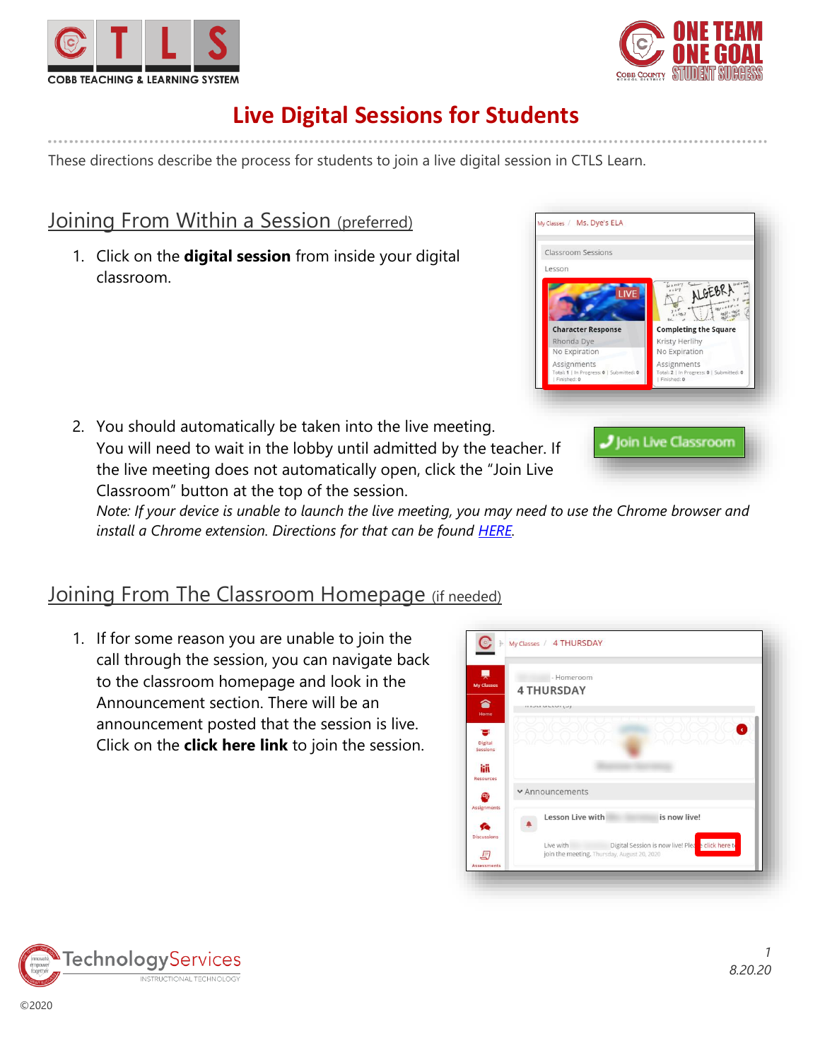



# **Live Digital Sessions for Students**

These directions describe the process for students to join a live digital session in CTLS Learn.

### Joining From Within a Session (preferred)

1. Click on the **digital session** from inside your digital classroom.

2. You should automatically be taken into the live meeting. You will need to wait in the lobby until admitted by the teacher. If the live meeting does not automatically open, click the "Join Live Classroom" button at the top of the session.





*Note: If your device is unable to launch the live meeting, you may need to use the Chrome browser and install a Chrome extension. Directions for that can be found [HERE.](https://support.zoom.us/hc/en-us/articles/201974323-How-To-Use-the-Zoom-Chrome-Extension#h_6732ce77-463f-4098-9b21-cee51dd7d702)* 

### Joining From The Classroom Homepage (if needed)

1. If for some reason you are unable to join the call through the session, you can navigate back to the classroom homepage and look in the Announcement section. There will be an announcement posted that the session is live. Click on the **click here link** to join the session.



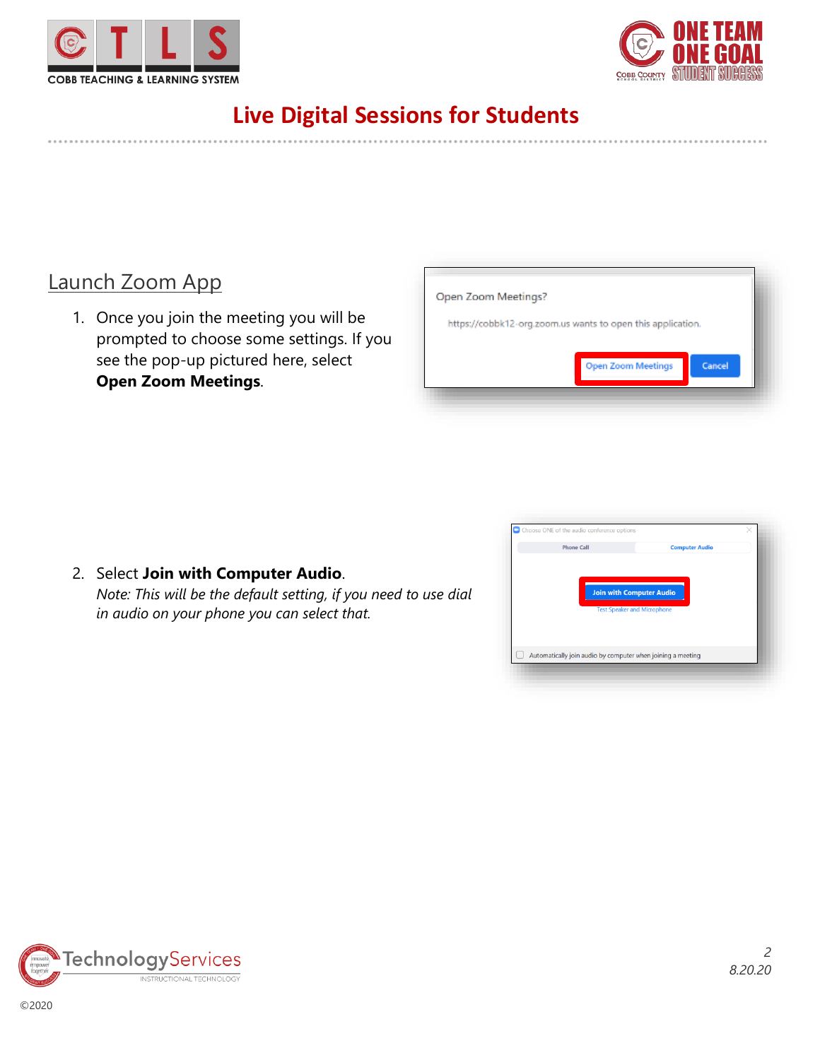



# **Live Digital Sessions for Students**

### Launch Zoom App

1. Once you join the meeting you will be prompted to choose some settings. If you see the pop-up pictured here, select **Open Zoom Meetings**.